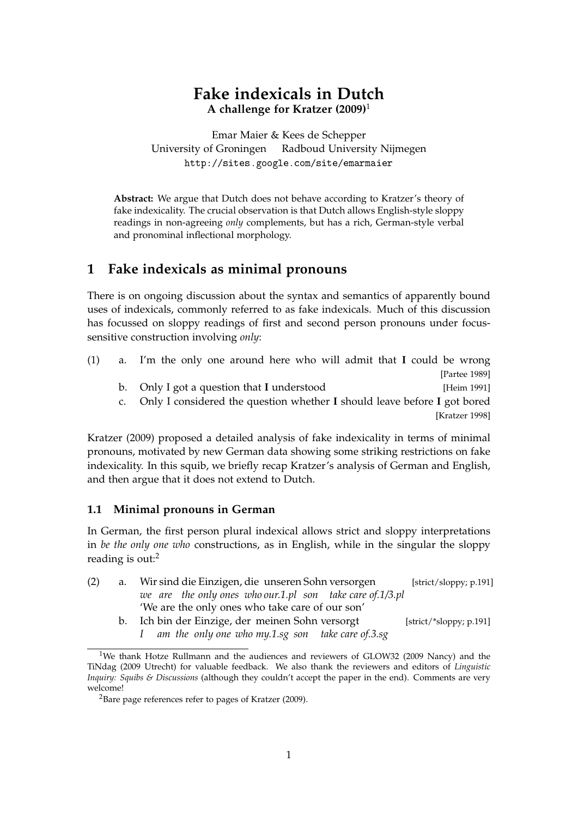# **Fake indexicals in Dutch A challenge for Kratzer (2009)**<sup>1</sup>

Emar Maier & Kees de Schepper University of Groningen Radboud University Nijmegen http://sites.google.com/site/emarmaier

**Abstract:** We argue that Dutch does not behave according to Kratzer's theory of fake indexicality. The crucial observation is that Dutch allows English-style sloppy readings in non-agreeing *only* complements, but has a rich, German-style verbal and pronominal inflectional morphology.

## **1 Fake indexicals as minimal pronouns**

There is on ongoing discussion about the syntax and semantics of apparently bound uses of indexicals, commonly referred to as fake indexicals. Much of this discussion has focussed on sloppy readings of first and second person pronouns under focussensitive construction involving *only*:

| (1) | a. I'm the only one around here who will admit that I could be wrong        |  |
|-----|-----------------------------------------------------------------------------|--|
|     | [Partee 1989]                                                               |  |
|     | b. Only I got a question that I understood<br>[Heim 1991]                   |  |
|     | c. Only I considered the question whether I should leave before I got bored |  |
|     | [Kratzer 1998]                                                              |  |
|     |                                                                             |  |

Kratzer (2009) proposed a detailed analysis of fake indexicality in terms of minimal pronouns, motivated by new German data showing some striking restrictions on fake indexicality. In this squib, we briefly recap Kratzer's analysis of German and English, and then argue that it does not extend to Dutch.

### **1.1 Minimal pronouns in German**

In German, the first person plural indexical allows strict and sloppy interpretations in *be the only one who* constructions, as in English, while in the singular the sloppy reading is out:<sup>2</sup>

- (2) a. Wir sind die Einzigen, die unseren Sohn versorgen *we are the only ones who our.1.pl son take care of.1/3.pl* [strict/sloppy; p.191] 'We are the only ones who take care of our son'
	- b. Ich bin der Einzige, der meinen Sohn versorgt *I am the only one who my.1.sg son take care of.3.sg* [strict/\*sloppy; p.191]

<sup>1</sup>We thank Hotze Rullmann and the audiences and reviewers of GLOW32 (2009 Nancy) and the TiNdag (2009 Utrecht) for valuable feedback. We also thank the reviewers and editors of *Linguistic Inquiry: Squibs & Discussions* (although they couldn't accept the paper in the end). Comments are very welcome!

<sup>2</sup>Bare page references refer to pages of Kratzer (2009).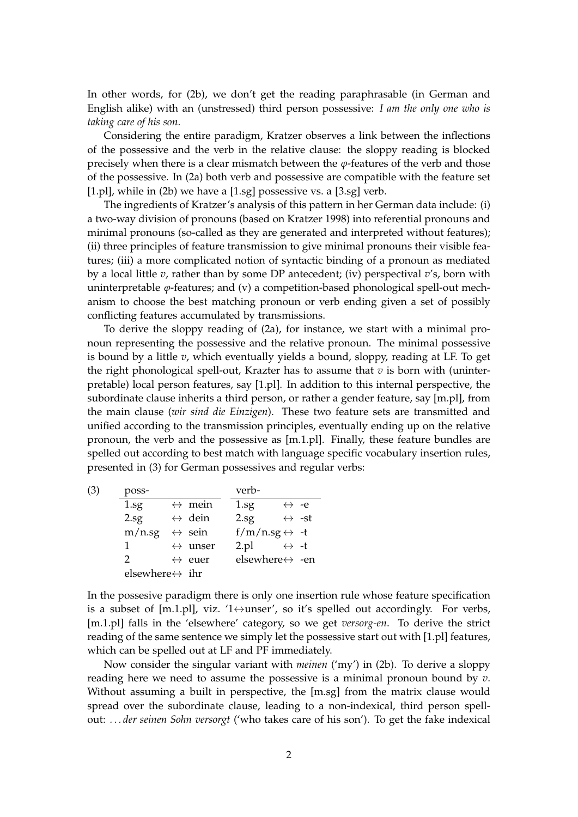In other words, for (2b), we don't get the reading paraphrasable (in German and English alike) with an (unstressed) third person possessive: *I am the only one who is taking care of his son*.

Considering the entire paradigm, Kratzer observes a link between the inflections of the possessive and the verb in the relative clause: the sloppy reading is blocked precisely when there is a clear mismatch between the *ϕ*-features of the verb and those of the possessive. In (2a) both verb and possessive are compatible with the feature set [1.pl], while in (2b) we have a [1.sg] possessive vs. a [3.sg] verb.

The ingredients of Kratzer's analysis of this pattern in her German data include: (i) a two-way division of pronouns (based on Kratzer 1998) into referential pronouns and minimal pronouns (so-called as they are generated and interpreted without features); (ii) three principles of feature transmission to give minimal pronouns their visible features; (iii) a more complicated notion of syntactic binding of a pronoun as mediated by a local little *v*, rather than by some DP antecedent; (iv) perspectival *v*'s, born with uninterpretable *ϕ*-features; and (v) a competition-based phonological spell-out mechanism to choose the best matching pronoun or verb ending given a set of possibly conflicting features accumulated by transmissions.

To derive the sloppy reading of (2a), for instance, we start with a minimal pronoun representing the possessive and the relative pronoun. The minimal possessive is bound by a little *v*, which eventually yields a bound, sloppy, reading at LF. To get the right phonological spell-out, Krazter has to assume that  $v$  is born with (uninterpretable) local person features, say [1.pl]. In addition to this internal perspective, the subordinate clause inherits a third person, or rather a gender feature, say [m.pl], from the main clause (*wir sind die Einzigen*). These two feature sets are transmitted and unified according to the transmission principles, eventually ending up on the relative pronoun, the verb and the possessive as [m.1.pl]. Finally, these feature bundles are spelled out according to best match with language specific vocabulary insertion rules, presented in (3) for German possessives and regular verbs:

| (3) | poss-                           |  |                         | verb-                           |                       |
|-----|---------------------------------|--|-------------------------|---------------------------------|-----------------------|
|     | $1.\text{sg}$                   |  | $\leftrightarrow$ mein  | $1.\text{sg}$                   | $\leftrightarrow$ -e  |
|     | $2.\text{sg}$                   |  | $\leftrightarrow$ dein  | $2.\text{sg}$                   | $\leftrightarrow$ -st |
|     | m/n.sg                          |  | $\leftrightarrow$ sein  | f/m/n.sg $\leftrightarrow -t$   |                       |
|     | 1                               |  | $\leftrightarrow$ unser | 2.pl                            | $\leftrightarrow$ -t  |
|     | 2                               |  | $\leftrightarrow$ euer  | elsewhere $\leftrightarrow$ -en |                       |
|     | elsewhere $\leftrightarrow$ ihr |  |                         |                                 |                       |

In the possesive paradigm there is only one insertion rule whose feature specification is a subset of [m.1.pl], viz. '1 $\leftrightarrow$ unser', so it's spelled out accordingly. For verbs, [m.1.pl] falls in the 'elsewhere' category, so we get *versorg-en*. To derive the strict reading of the same sentence we simply let the possessive start out with [1.pl] features, which can be spelled out at LF and PF immediately.

Now consider the singular variant with *meinen* ('my') in (2b). To derive a sloppy reading here we need to assume the possessive is a minimal pronoun bound by *v*. Without assuming a built in perspective, the [m.sg] from the matrix clause would spread over the subordinate clause, leading to a non-indexical, third person spellout: *. . . der seinen Sohn versorgt* ('who takes care of his son'). To get the fake indexical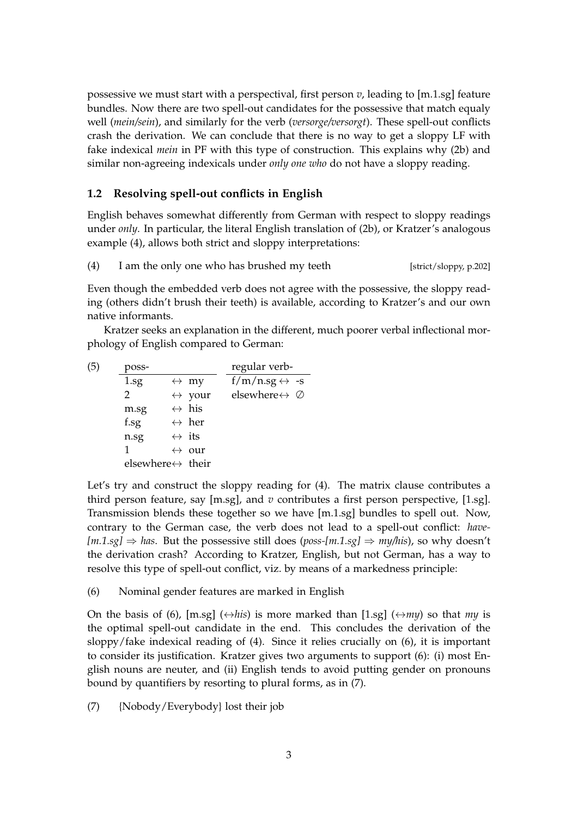possessive we must start with a perspectival, first person *v*, leading to [m.1.sg] feature bundles. Now there are two spell-out candidates for the possessive that match equaly well (*mein/sein*), and similarly for the verb (*versorge/versorgt*). These spell-out conflicts crash the derivation. We can conclude that there is no way to get a sloppy LF with fake indexical *mein* in PF with this type of construction. This explains why (2b) and similar non-agreeing indexicals under *only one who* do not have a sloppy reading.

#### **1.2 Resolving spell-out conflicts in English**

English behaves somewhat differently from German with respect to sloppy readings under *only*. In particular, the literal English translation of (2b), or Kratzer's analogous example (4), allows both strict and sloppy interpretations:

(4) I am the only one who has brushed my teeth  $[strict/sloppy, p.202]$ 

Even though the embedded verb does not agree with the possessive, the sloppy reading (others didn't brush their teeth) is available, according to Kratzer's and our own native informants.

Kratzer seeks an explanation in the different, much poorer verbal inflectional morphology of English compared to German:

| poss-         |  | regular verb-                                                                                                                                                                           |                                                                        |
|---------------|--|-----------------------------------------------------------------------------------------------------------------------------------------------------------------------------------------|------------------------------------------------------------------------|
| $1.\text{sg}$ |  |                                                                                                                                                                                         |                                                                        |
| $\mathcal{P}$ |  |                                                                                                                                                                                         |                                                                        |
| m.sg          |  |                                                                                                                                                                                         |                                                                        |
| f.sg          |  |                                                                                                                                                                                         |                                                                        |
| n.sg          |  |                                                                                                                                                                                         |                                                                        |
| 1             |  |                                                                                                                                                                                         |                                                                        |
|               |  |                                                                                                                                                                                         |                                                                        |
|               |  | $\leftrightarrow$ my<br>$\leftrightarrow$ your<br>$\leftrightarrow$ his<br>$\leftrightarrow$ her<br>$\leftrightarrow$ its<br>$\leftrightarrow$ our<br>elsewhere $\leftrightarrow$ their | $f/m/n.sg \leftrightarrow -s$<br>elsewhere $\leftrightarrow \emptyset$ |

Let's try and construct the sloppy reading for (4). The matrix clause contributes a third person feature, say [m.sg], and *v* contributes a first person perspective, [1.sg]. Transmission blends these together so we have [m.1.sg] bundles to spell out. Now, contrary to the German case, the verb does not lead to a spell-out conflict: *have-*  $[m.1.sg] \Rightarrow$  has. But the possessive still does (*poss-[m.1.sg]*  $\Rightarrow$  *my/his*), so why doesn't the derivation crash? According to Kratzer, English, but not German, has a way to resolve this type of spell-out conflict, viz. by means of a markedness principle:

(6) Nominal gender features are marked in English

On the basis of (6),  $[m.sg]$  ( $\leftrightarrow$ *his*) is more marked than [1.sg] ( $\leftrightarrow$ *my*) so that *my* is the optimal spell-out candidate in the end. This concludes the derivation of the sloppy/fake indexical reading of (4). Since it relies crucially on (6), it is important to consider its justification. Kratzer gives two arguments to support (6): (i) most English nouns are neuter, and (ii) English tends to avoid putting gender on pronouns bound by quantifiers by resorting to plural forms, as in (7).

(7) {Nobody/Everybody} lost their job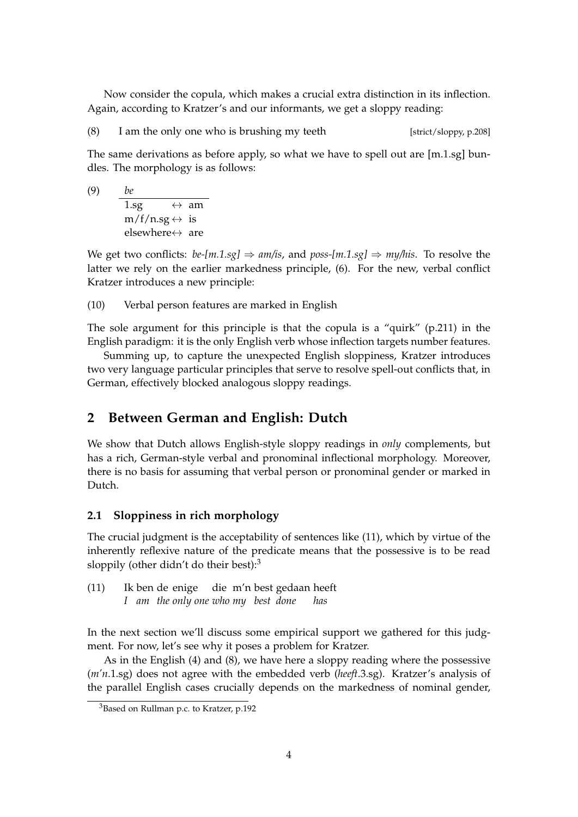Now consider the copula, which makes a crucial extra distinction in its inflection. Again, according to Kratzer's and our informants, we get a sloppy reading:

(8) I am the only one who is brushing my teeth [strict/sloppy, p.208]

The same derivations as before apply, so what we have to spell out are [m.1.sg] bundles. The morphology is as follows:

(9) *be* 1.sg  $\leftrightarrow$  am  $m/f/n.sg \leftrightarrow is$ elsewhere $\leftrightarrow$  are

We get two conflicts:  $be{\text{-}[m.1sg]} \Rightarrow am{\text{/is}}$ , and  $pos{\text{-}[m.1sg]} \Rightarrow my{\text{/his}}$ . To resolve the latter we rely on the earlier markedness principle, (6). For the new, verbal conflict Kratzer introduces a new principle:

(10) Verbal person features are marked in English

The sole argument for this principle is that the copula is a "quirk" (p.211) in the English paradigm: it is the only English verb whose inflection targets number features.

Summing up, to capture the unexpected English sloppiness, Kratzer introduces two very language particular principles that serve to resolve spell-out conflicts that, in German, effectively blocked analogous sloppy readings.

### **2 Between German and English: Dutch**

We show that Dutch allows English-style sloppy readings in *only* complements, but has a rich, German-style verbal and pronominal inflectional morphology. Moreover, there is no basis for assuming that verbal person or pronominal gender or marked in Dutch.

### **2.1 Sloppiness in rich morphology**

The crucial judgment is the acceptability of sentences like (11), which by virtue of the inherently reflexive nature of the predicate means that the possessive is to be read sloppily (other didn't do their best):<sup>3</sup>

 $(11)$ *I am the only one who my best done* ben de enige die m'n best gedaan heeft *has*

In the next section we'll discuss some empirical support we gathered for this judgment. For now, let's see why it poses a problem for Kratzer.

As in the English (4) and (8), we have here a sloppy reading where the possessive (*m'n*.1.sg) does not agree with the embedded verb (*heeft*.3.sg). Kratzer's analysis of the parallel English cases crucially depends on the markedness of nominal gender,

<sup>3</sup>Based on Rullman p.c. to Kratzer, p.192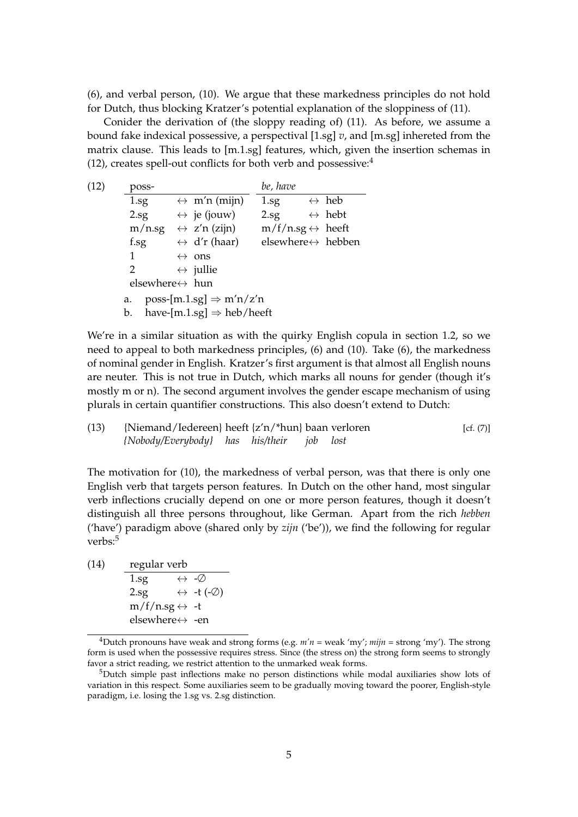(6), and verbal person, (10). We argue that these markedness principles do not hold for Dutch, thus blocking Kratzer's potential explanation of the sloppiness of (11).

Conider the derivation of (the sloppy reading of) (11). As before, we assume a bound fake indexical possessive, a perspectival [1.sg] *v*, and [m.sg] inhereted from the matrix clause. This leads to [m.1.sg] features, which, given the insertion schemas in (12), creates spell-out conflicts for both verb and possessive:<sup>4</sup>

| (12) | poss-                                        |                                       | be, have                           |                        |  |  |  |  |
|------|----------------------------------------------|---------------------------------------|------------------------------------|------------------------|--|--|--|--|
|      | $1.\text{sg}$                                | $\leftrightarrow$ m'n (mijn)          | $1.\text{sg}$                      | $\leftrightarrow$ heb  |  |  |  |  |
|      | $2.\text{sg}$                                | $\leftrightarrow$ je (jouw)           | $2.\text{sg}$                      | $\leftrightarrow$ hebt |  |  |  |  |
|      | $m/n$ .sg                                    | $\leftrightarrow$ z'n (zijn)          | $m/f/n.sg \leftrightarrow$ heeft   |                        |  |  |  |  |
|      | f.sg                                         | $\leftrightarrow$ d'r (haar)          | elsewhere $\leftrightarrow$ hebben |                        |  |  |  |  |
|      | 1                                            | ons<br>$\leftrightarrow$              |                                    |                        |  |  |  |  |
|      | 2                                            | $\leftrightarrow$ jullie              |                                    |                        |  |  |  |  |
|      | elsewhere $\leftrightarrow$ hun              |                                       |                                    |                        |  |  |  |  |
|      | $poss$ -[m.1.sg] $\Rightarrow$ m'n/z'n<br>a. |                                       |                                    |                        |  |  |  |  |
|      | b.                                           | have-[m.1.sg] $\Rightarrow$ heb/heeft |                                    |                        |  |  |  |  |

We're in a similar situation as with the quirky English copula in section 1.2, so we need to appeal to both markedness principles, (6) and (10). Take (6), the markedness of nominal gender in English. Kratzer's first argument is that almost all English nouns are neuter. This is not true in Dutch, which marks all nouns for gender (though it's mostly m or n). The second argument involves the gender escape mechanism of using plurals in certain quantifier constructions. This also doesn't extend to Dutch:

(13) {Niemand/Iedereen} *{Nobody/Everybody}* heeft *has* {z'n/\*hun} *his/their* baan *job* verloren *lost* [cf. (7)]

The motivation for (10), the markedness of verbal person, was that there is only one English verb that targets person features. In Dutch on the other hand, most singular verb inflections crucially depend on one or more person features, though it doesn't distinguish all three persons throughout, like German. Apart from the rich *hebben* ('have') paradigm above (shared only by *zijn* ('be')), we find the following for regular verbs:<sup>5</sup>

(14) regular verb  $\overline{1.\text{sg}} \qquad \leftrightarrow -\varnothing$ 2.sg  $\leftrightarrow$  -t (- $\oslash$ )  $m/f/n.sg \leftrightarrow -t$ elsewhere↔ -en

<sup>&</sup>lt;sup>4</sup>Dutch pronouns have weak and strong forms (e.g.  $m'n$  = weak 'my';  $mijn$  = strong 'my'). The strong form is used when the possessive requires stress. Since (the stress on) the strong form seems to strongly favor a strict reading, we restrict attention to the unmarked weak forms.

<sup>5</sup>Dutch simple past inflections make no person distinctions while modal auxiliaries show lots of variation in this respect. Some auxiliaries seem to be gradually moving toward the poorer, English-style paradigm, i.e. losing the 1.sg vs. 2.sg distinction.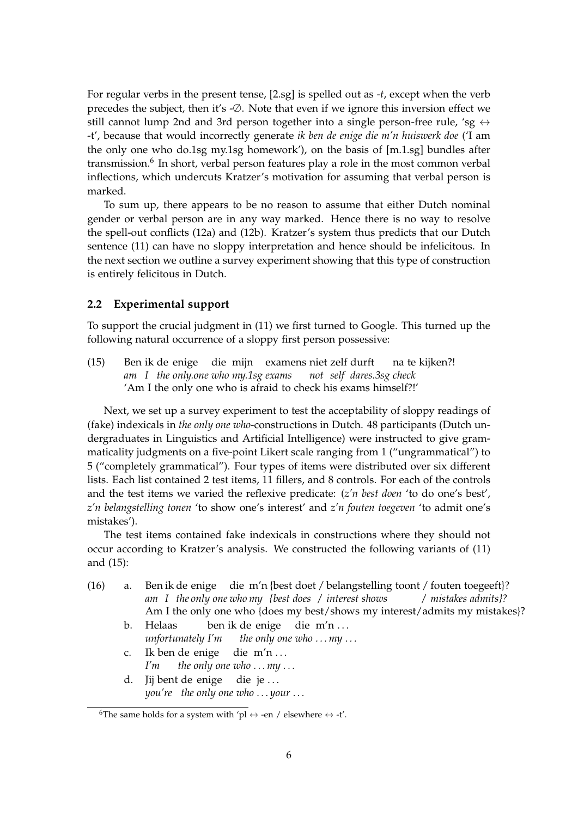For regular verbs in the present tense, [2.sg] is spelled out as *-t*, except when the verb precedes the subject, then it's -∅. Note that even if we ignore this inversion effect we still cannot lump 2nd and 3rd person together into a single person-free rule, 'sg  $\leftrightarrow$ -t', because that would incorrectly generate *ik ben de enige die m'n huiswerk doe* ('I am the only one who do.1sg my.1sg homework'), on the basis of [m.1.sg] bundles after transmission.<sup>6</sup> In short, verbal person features play a role in the most common verbal inflections, which undercuts Kratzer's motivation for assuming that verbal person is marked.

To sum up, there appears to be no reason to assume that either Dutch nominal gender or verbal person are in any way marked. Hence there is no way to resolve the spell-out conflicts (12a) and (12b). Kratzer's system thus predicts that our Dutch sentence (11) can have no sloppy interpretation and hence should be infelicitous. In the next section we outline a survey experiment showing that this type of construction is entirely felicitous in Dutch.

#### **2.2 Experimental support**

To support the crucial judgment in (11) we first turned to Google. This turned up the following natural occurrence of a sloppy first person possessive:

(15) Ben ik de enige die mijn examens niet zelf durft *am I the only.one who my.1sg exams not self dares.3sg check* na te kijken?! 'Am I the only one who is afraid to check his exams himself?!'

Next, we set up a survey experiment to test the acceptability of sloppy readings of (fake) indexicals in *the only one who*-constructions in Dutch. 48 participants (Dutch undergraduates in Linguistics and Artificial Intelligence) were instructed to give grammaticality judgments on a five-point Likert scale ranging from 1 ("ungrammatical") to 5 ("completely grammatical"). Four types of items were distributed over six different lists. Each list contained 2 test items, 11 fillers, and 8 controls. For each of the controls and the test items we varied the reflexive predicate: (*z'n best doen* 'to do one's best', *z'n belangstelling tonen* 'to show one's interest' and *z'n fouten toegeven* 'to admit one's mistakes').

The test items contained fake indexicals in constructions where they should not occur according to Kratzer's analysis. We constructed the following variants of (11) and (15):

- (16) a. Ben ik de enige die m'n {best doet / belangstelling toont / fouten toegeeft}? *am I the only one who my {best does / interest shows / mistakes admits}?* Am I the only one who {does my best/shows my interest/admits my mistakes}?
	- b. Helaas *unfortunately I'm* ben ik de enige *the only one who . . . my . . .* die m'n . . .
	- c. Ik ben de enige *I'm the only one who . . . my . . .* die m'n . . .
	- d. Jij bent de enige *you're the only one who . . . your . . .* die je . . .

<sup>&</sup>lt;sup>6</sup>The same holds for a system with 'pl  $\leftrightarrow$  -en / elsewhere  $\leftrightarrow$  -t'.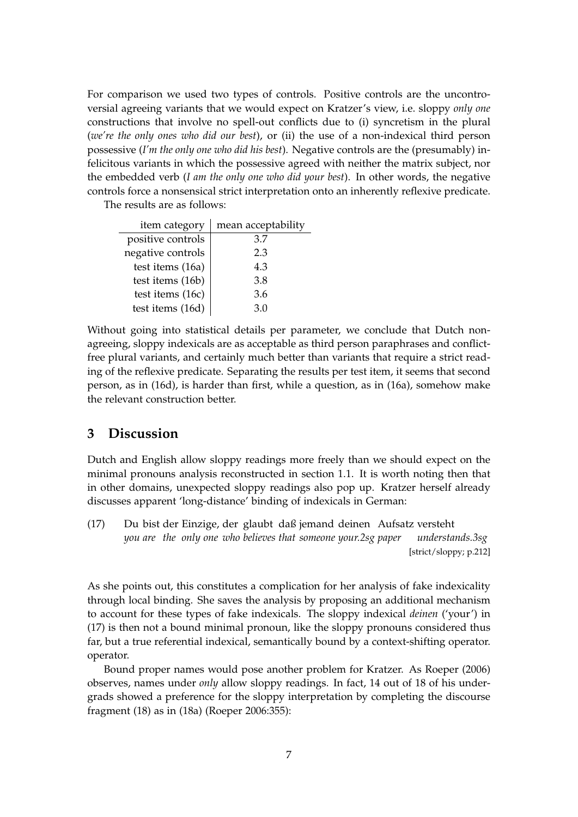For comparison we used two types of controls. Positive controls are the uncontroversial agreeing variants that we would expect on Kratzer's view, i.e. sloppy *only one* constructions that involve no spell-out conflicts due to (i) syncretism in the plural (*we're the only ones who did our best*), or (ii) the use of a non-indexical third person possessive (*I'm the only one who did his best*). Negative controls are the (presumably) infelicitous variants in which the possessive agreed with neither the matrix subject, nor the embedded verb (*I am the only one who did your best*). In other words, the negative controls force a nonsensical strict interpretation onto an inherently reflexive predicate.

The results are as follows:

| item category     | mean acceptability |
|-------------------|--------------------|
| positive controls | 3.7                |
| negative controls | 2.3                |
| test items (16a)  | 4.3                |
| test items (16b)  | 3.8                |
| test items (16c)  | 3.6                |
| test items (16d)  | 3.0                |

Without going into statistical details per parameter, we conclude that Dutch nonagreeing, sloppy indexicals are as acceptable as third person paraphrases and conflictfree plural variants, and certainly much better than variants that require a strict reading of the reflexive predicate. Separating the results per test item, it seems that second person, as in (16d), is harder than first, while a question, as in (16a), somehow make the relevant construction better.

## **3 Discussion**

Dutch and English allow sloppy readings more freely than we should expect on the minimal pronouns analysis reconstructed in section 1.1. It is worth noting then that in other domains, unexpected sloppy readings also pop up. Kratzer herself already discusses apparent 'long-distance' binding of indexicals in German:

 $(17)$ *you are the only one who believes that someone your.2sg paper* bist der Einzige, der glaubt daß jemand deinen Aufsatz versteht *understands.3sg* [strict/sloppy; p.212]

As she points out, this constitutes a complication for her analysis of fake indexicality through local binding. She saves the analysis by proposing an additional mechanism to account for these types of fake indexicals. The sloppy indexical *deinen* ('your') in (17) is then not a bound minimal pronoun, like the sloppy pronouns considered thus far, but a true referential indexical, semantically bound by a context-shifting operator. operator.

Bound proper names would pose another problem for Kratzer. As Roeper (2006) observes, names under *only* allow sloppy readings. In fact, 14 out of 18 of his undergrads showed a preference for the sloppy interpretation by completing the discourse fragment (18) as in (18a) (Roeper 2006:355):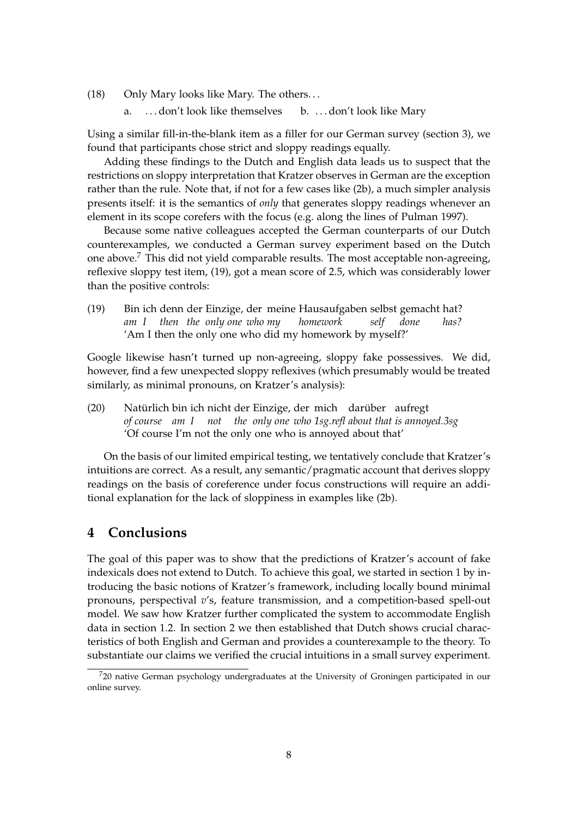(18) Only Mary looks like Mary. The others. . .

a. ... don't look like themselves b. ... don't look like Mary

Using a similar fill-in-the-blank item as a filler for our German survey (section 3), we found that participants chose strict and sloppy readings equally.

Adding these findings to the Dutch and English data leads us to suspect that the restrictions on sloppy interpretation that Kratzer observes in German are the exception rather than the rule. Note that, if not for a few cases like (2b), a much simpler analysis presents itself: it is the semantics of *only* that generates sloppy readings whenever an element in its scope corefers with the focus (e.g. along the lines of Pulman 1997).

Because some native colleagues accepted the German counterparts of our Dutch counterexamples, we conducted a German survey experiment based on the Dutch one above.<sup>7</sup> This did not yield comparable results. The most acceptable non-agreeing, reflexive sloppy test item, (19), got a mean score of 2.5, which was considerably lower than the positive controls:

 $(19)$ *am I* ich denn der Einzige, der meine Hausaufgaben selbst gemacht hat? *then the only one who my homework self done has?* 'Am I then the only one who did my homework by myself?'

Google likewise hasn't turned up non-agreeing, sloppy fake possessives. We did, however, find a few unexpected sloppy reflexives (which presumably would be treated similarly, as minimal pronouns, on Kratzer's analysis):

(20) Natürlich bin ich nicht der Einzige, der mich darüber aufregt *of course am I not the only one who 1sg.refl about that is annoyed.3sg* 'Of course I'm not the only one who is annoyed about that'

On the basis of our limited empirical testing, we tentatively conclude that Kratzer's intuitions are correct. As a result, any semantic/pragmatic account that derives sloppy readings on the basis of coreference under focus constructions will require an additional explanation for the lack of sloppiness in examples like (2b).

## **4 Conclusions**

The goal of this paper was to show that the predictions of Kratzer's account of fake indexicals does not extend to Dutch. To achieve this goal, we started in section 1 by introducing the basic notions of Kratzer's framework, including locally bound minimal pronouns, perspectival *v*'s, feature transmission, and a competition-based spell-out model. We saw how Kratzer further complicated the system to accommodate English data in section 1.2. In section 2 we then established that Dutch shows crucial characteristics of both English and German and provides a counterexample to the theory. To substantiate our claims we verified the crucial intuitions in a small survey experiment.

 $720$  native German psychology undergraduates at the University of Groningen participated in our online survey.